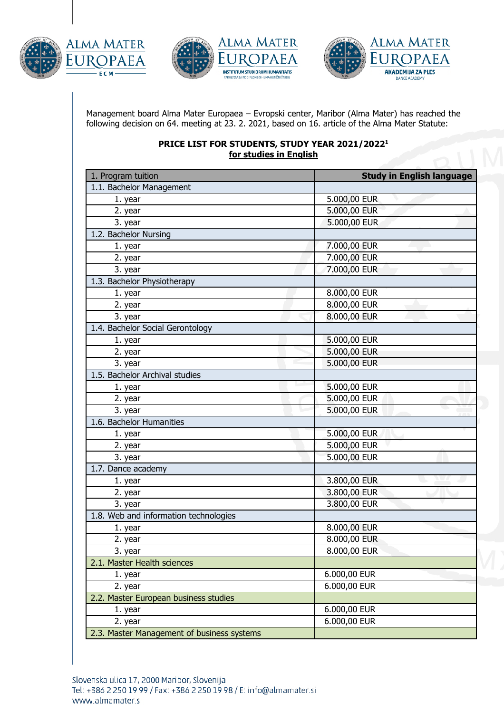







Management board Alma Mater Europaea – Evropski center, Maribor (Alma Mater) has reached the following decision on 64. meeting at 23. 2. 2021, based on 16. article of the Alma Mater Statute:

## **PRICE LIST FOR STUDENTS, STUDY YEAR 2021/20221 for studies in English**

| 1. Program tuition                         | <b>Study in English language</b> |
|--------------------------------------------|----------------------------------|
| 1.1. Bachelor Management                   |                                  |
| 1. year                                    | 5.000,00 EUR                     |
| 2. year                                    | 5.000,00 EUR                     |
| 3. year                                    | 5.000,00 EUR                     |
| 1.2. Bachelor Nursing                      |                                  |
| 1. year                                    | 7.000,00 EUR                     |
| 2. year                                    | 7.000,00 EUR                     |
| 3. year                                    | 7.000,00 EUR                     |
| 1.3. Bachelor Physiotherapy                |                                  |
| 1. year                                    | 8.000,00 EUR                     |
| 2. year                                    | 8.000,00 EUR                     |
| 3. year                                    | 8.000,00 EUR                     |
| 1.4. Bachelor Social Gerontology           |                                  |
| 1. year                                    | 5.000,00 EUR                     |
| 2. year                                    | 5.000,00 EUR                     |
| 3. year                                    | 5.000,00 EUR                     |
| 1.5. Bachelor Archival studies             |                                  |
| 1. year                                    | 5.000,00 EUR                     |
| 2. year                                    | 5.000,00 EUR                     |
| 3. year                                    | 5.000,00 EUR                     |
| 1.6. Bachelor Humanities                   |                                  |
| 1. year                                    | 5.000,00 EUR                     |
| 2. year                                    | 5.000,00 EUR                     |
| 3. year                                    | 5.000,00 EUR                     |
| 1.7. Dance academy                         |                                  |
| 1. year                                    | 3.800,00 EUR                     |
| 2. year                                    | 3.800,00 EUR                     |
| 3. year                                    | 3.800,00 EUR                     |
| 1.8. Web and information technologies      |                                  |
| 1. year                                    | 8.000,00 EUR                     |
| 2. year                                    | 8.000,00 EUR                     |
| 3. year                                    | 8.000,00 EUR                     |
| 2.1. Master Health sciences                |                                  |
| 1. year                                    | 6.000,00 EUR                     |
| 2. year                                    | 6.000,00 EUR                     |
| 2.2. Master European business studies      |                                  |
| 1. year                                    | 6.000,00 EUR                     |
| 2. year                                    | 6.000,00 EUR                     |
| 2.3. Master Management of business systems |                                  |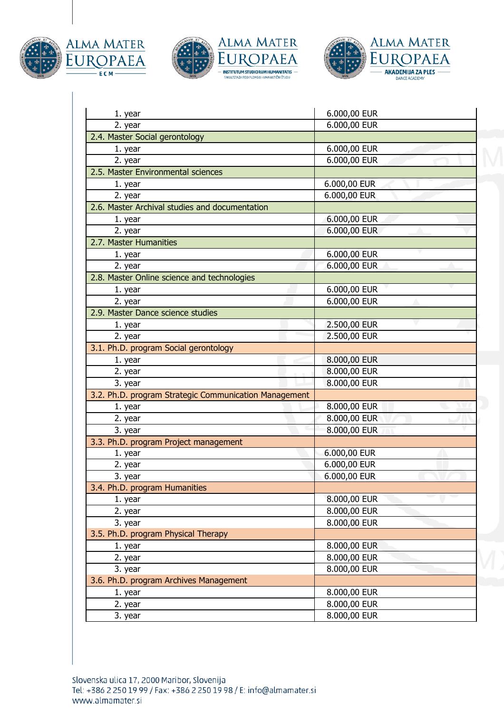







| 1. year                                               | 6.000,00 EUR |
|-------------------------------------------------------|--------------|
| 2. year                                               | 6.000,00 EUR |
| 2.4. Master Social gerontology                        |              |
| 1. year                                               | 6.000,00 EUR |
| 2. year                                               | 6.000,00 EUR |
| 2.5. Master Environmental sciences                    |              |
| 1. year                                               | 6.000,00 EUR |
| 2. year                                               | 6.000,00 EUR |
| 2.6. Master Archival studies and documentation        |              |
| 1. year                                               | 6.000,00 EUR |
| 2. year                                               | 6.000,00 EUR |
| 2.7. Master Humanities                                |              |
| 1. year                                               | 6.000,00 EUR |
| 2. year                                               | 6.000,00 EUR |
| 2.8. Master Online science and technologies           |              |
| 1. year                                               | 6.000,00 EUR |
| 2. year                                               | 6.000,00 EUR |
| 2.9. Master Dance science studies                     |              |
| 1. year                                               | 2.500,00 EUR |
| 2. year                                               | 2.500,00 EUR |
| 3.1. Ph.D. program Social gerontology                 |              |
| 1. year                                               | 8.000,00 EUR |
| 2. year                                               | 8.000,00 EUR |
| 3. year                                               | 8.000,00 EUR |
| 3.2. Ph.D. program Strategic Communication Management |              |
| 1. year                                               | 8.000,00 EUR |
| 2. year                                               | 8.000,00 EUR |
| 3. year                                               | 8.000,00 EUR |
| 3.3. Ph.D. program Project management                 |              |
| 1. year                                               | 6.000,00 EUR |
| 2. year                                               | 6.000,00 EUR |
| 3. year                                               | 6.000,00 EUR |
| 3.4. Ph.D. program Humanities                         |              |
| 1. year                                               | 8.000,00 EUR |
| 2. year                                               | 8.000,00 EUR |
| 3. year                                               | 8.000,00 EUR |
| 3.5. Ph.D. program Physical Therapy                   |              |
| 1. year                                               | 8.000,00 EUR |
| 2. year                                               | 8.000,00 EUR |
| 3. year                                               | 8.000,00 EUR |
| 3.6. Ph.D. program Archives Management                |              |
| 1. year                                               | 8.000,00 EUR |
| 2. year                                               | 8.000,00 EUR |
| 3. year                                               | 8.000,00 EUR |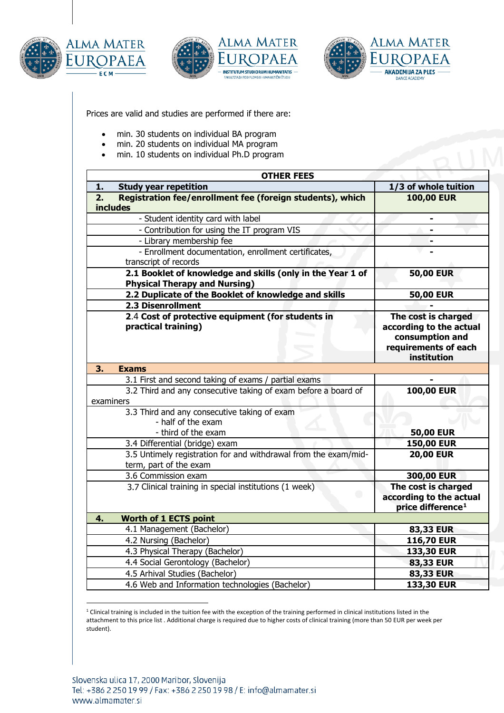





Prices are valid and studies are performed if there are:

- min. 30 students on individual BA program
- min. 20 students on individual MA program
- min. 10 students on individual Ph.D program

| <b>OTHER FEES</b>                                                                                  |                                                                                                          |
|----------------------------------------------------------------------------------------------------|----------------------------------------------------------------------------------------------------------|
| 1.<br><b>Study year repetition</b>                                                                 | 1/3 of whole tuition                                                                                     |
| Registration fee/enrollment fee (foreign students), which<br>2.                                    | <b>100,00 EUR</b>                                                                                        |
| <b>includes</b>                                                                                    |                                                                                                          |
| - Student identity card with label                                                                 | $\blacksquare$                                                                                           |
| - Contribution for using the IT program VIS                                                        |                                                                                                          |
| - Library membership fee                                                                           |                                                                                                          |
| - Enrollment documentation, enrollment certificates,                                               |                                                                                                          |
| transcript of records                                                                              |                                                                                                          |
| 2.1 Booklet of knowledge and skills (only in the Year 1 of<br><b>Physical Therapy and Nursing)</b> | <b>50,00 EUR</b>                                                                                         |
| 2.2 Duplicate of the Booklet of knowledge and skills                                               | <b>50,00 EUR</b>                                                                                         |
| 2.3 Disenrollment                                                                                  |                                                                                                          |
| 2.4 Cost of protective equipment (for students in<br>practical training)                           | The cost is charged<br>according to the actual<br>consumption and<br>requirements of each<br>institution |
| 3.<br><b>Exams</b>                                                                                 |                                                                                                          |
| 3.1 First and second taking of exams / partial exams                                               |                                                                                                          |
| 3.2 Third and any consecutive taking of exam before a board of<br>examiners                        | <b>100,00 EUR</b>                                                                                        |
| 3.3 Third and any consecutive taking of exam<br>- half of the exam<br>- third of the exam          | <b>50,00 EUR</b>                                                                                         |
| 3.4 Differential (bridge) exam                                                                     | <b>150,00 EUR</b>                                                                                        |
| 3.5 Untimely registration for and withdrawal from the exam/mid-<br>term, part of the exam          | <b>20,00 EUR</b>                                                                                         |
| 3.6 Commission exam                                                                                | 300,00 EUR                                                                                               |
| 3.7 Clinical training in special institutions (1 week)<br>O                                        | The cost is charged<br>according to the actual<br>price difference <sup>1</sup>                          |
| <b>Worth of 1 ECTS point</b><br>4.                                                                 |                                                                                                          |
| 4.1 Management (Bachelor)                                                                          | 83,33 EUR                                                                                                |
| 4.2 Nursing (Bachelor)                                                                             | <b>116,70 EUR</b>                                                                                        |
| 4.3 Physical Therapy (Bachelor)                                                                    | 133,30 EUR                                                                                               |
| 4.4 Social Gerontology (Bachelor)                                                                  | 83,33 EUR                                                                                                |
| 4.5 Arhival Studies (Bachelor)                                                                     | 83,33 EUR                                                                                                |
| 4.6 Web and Information technologies (Bachelor)                                                    | 133,30 EUR                                                                                               |

<span id="page-2-0"></span> $1$  Clinical training is included in the tuition fee with the exception of the training performed in clinical institutions listed in the attachment to this price list . Additional charge is required due to higher costs of clinical training (more than 50 EUR per week per student).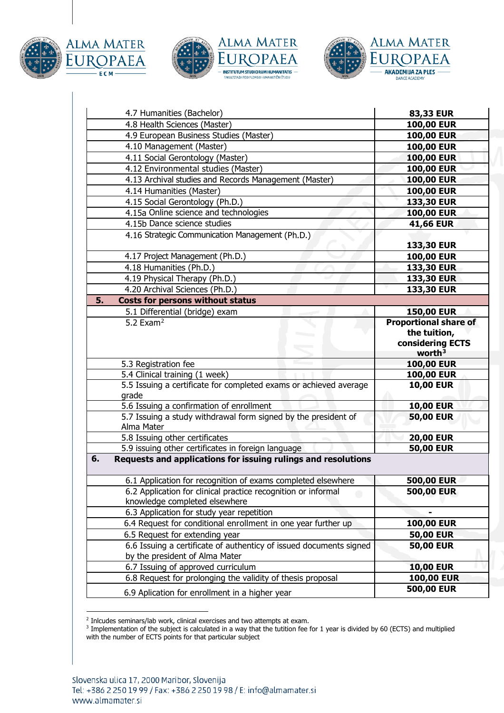







| 4.7 Humanities (Bachelor)                                                                            | 83,33 EUR                                                                     |
|------------------------------------------------------------------------------------------------------|-------------------------------------------------------------------------------|
| 4.8 Health Sciences (Master)                                                                         | 100,00 EUR                                                                    |
| 4.9 European Business Studies (Master)                                                               | 100,00 EUR                                                                    |
| 4.10 Management (Master)                                                                             | <b>100,00 EUR</b>                                                             |
| 4.11 Social Gerontology (Master)                                                                     | 100,00 EUR                                                                    |
| 4.12 Environmental studies (Master)                                                                  | <b>100,00 EUR</b>                                                             |
| 4.13 Archival studies and Records Management (Master)                                                | <b>100,00 EUR</b>                                                             |
| 4.14 Humanities (Master)                                                                             | <b>100,00 EUR</b>                                                             |
| 4.15 Social Gerontology (Ph.D.)                                                                      | 133,30 EUR                                                                    |
| 4.15a Online science and technologies                                                                | 100,00 EUR                                                                    |
| 4.15b Dance science studies                                                                          | 41,66 EUR                                                                     |
| 4.16 Strategic Communication Management (Ph.D.)                                                      |                                                                               |
|                                                                                                      | 133,30 EUR                                                                    |
| 4.17 Project Management (Ph.D.)                                                                      | <b>100,00 EUR</b>                                                             |
| 4.18 Humanities (Ph.D.)                                                                              | 133,30 EUR                                                                    |
| 4.19 Physical Therapy (Ph.D.)                                                                        | 133,30 EUR                                                                    |
| 4.20 Archival Sciences (Ph.D.)                                                                       | 133,30 EUR                                                                    |
| 5.<br><b>Costs for persons without status</b>                                                        |                                                                               |
| 5.1 Differential (bridge) exam                                                                       | <b>150,00 EUR</b>                                                             |
| 5.2 Exam <sup>2</sup>                                                                                | <b>Proportional share of</b><br>the tuition,<br>considering ECTS<br>worth $3$ |
| 5.3 Registration fee                                                                                 | <b>100,00 EUR</b>                                                             |
| 5.4 Clinical training (1 week)                                                                       | <b>100,00 EUR</b>                                                             |
| 5.5 Issuing a certificate for completed exams or achieved average<br>grade                           | <b>10,00 EUR</b>                                                              |
| 5.6 Issuing a confirmation of enrollment                                                             | <b>10,00 EUR</b>                                                              |
| 5.7 Issuing a study withdrawal form signed by the president of<br>Alma Mater                         | <b>50,00 EUR</b>                                                              |
| 5.8 Issuing other certificates                                                                       | <b>20,00 EUR</b>                                                              |
| 5.9 issuing other certificates in foreign language                                                   | <b>50,00 EUR</b>                                                              |
| 6.<br>Requests and applications for issuing rulings and resolutions                                  |                                                                               |
| 6.1 Application for recognition of exams completed elsewhere                                         | 500,00 EUR                                                                    |
| 6.2 Application for clinical practice recognition or informal<br>knowledge completed elsewhere       | 500,00 EUR                                                                    |
| 6.3 Application for study year repetition                                                            | -                                                                             |
| 6.4 Request for conditional enrollment in one year further up                                        | <b>100,00 EUR</b>                                                             |
| 6.5 Request for extending year                                                                       | <b>50,00 EUR</b>                                                              |
| 6.6 Issuing a certificate of authenticy of issued documents signed<br>by the president of Alma Mater | <b>50,00 EUR</b>                                                              |
| 6.7 Issuing of approved curriculum                                                                   | <b>10,00 EUR</b>                                                              |
| 6.8 Request for prolonging the validity of thesis proposal                                           | <b>100,00 EUR</b>                                                             |
| 6.9 Aplication for enrollment in a higher year                                                       | 500,00 EUR                                                                    |

<sup>&</sup>lt;sup>2</sup> Inlcudes seminars/lab work, clinical exercises and two attempts at exam.

<span id="page-3-1"></span><span id="page-3-0"></span> $^3$  Implementation of the subject is calculated in a way that the tutition fee for 1 year is divided by 60 (ECTS) and multiplied with the number of ECTS points for that particular subject